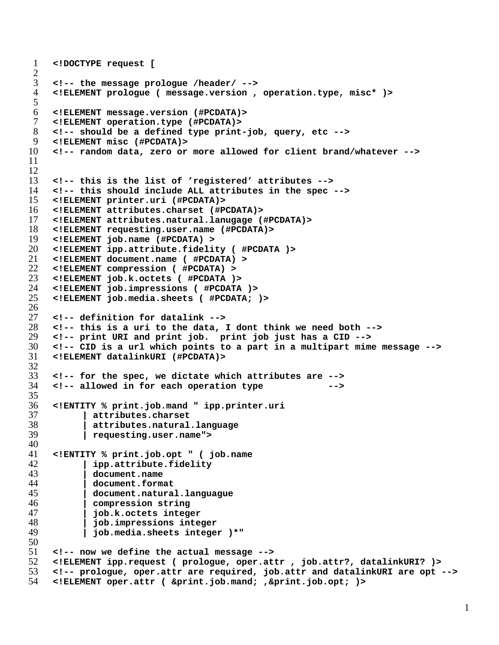```
1 <!DOCTYPE request [
rac{2}{3}3 <!-- the message prologue /header/ -->
4 <!ELEMENT prologue ( message.version , operation.type, misc* )>
5
6 <!ELEMENT message.version (#PCDATA)>
    7 <!ELEMENT operation.type (#PCDATA)>
8 <!-- should be a defined type print-job, query, etc -->
9 <!ELEMENT misc (#PCDATA)>
10 <!-- random data, zero or more allowed for client brand/whatever -->
11
12
13 <!-- this is the list of 'registered' attributes -->
14 <!-- this should include ALL attributes in the spec -->
15 <!ELEMENT printer.uri (#PCDATA)>
16 <!ELEMENT attributes.charset (#PCDATA)>
17 <!ELEMENT attributes.natural.lanugage (#PCDATA)>
    18 <!ELEMENT requesting.user.name (#PCDATA)>
19 <!ELEMENT job.name (#PCDATA) >
20 <!ELEMENT ipp.attribute.fidelity ( #PCDATA )>
21 <!ELEMENT document.name ( #PCDATA) >
22 <!ELEMENT compression ( #PCDATA) >
    23 <!ELEMENT job.k.octets ( #PCDATA )>
24 <!ELEMENT job.impressions ( #PCDATA )>
    25 <!ELEMENT job.media.sheets ( #PCDATA; )>
\frac{26}{27}27 <!-- definition for datalink -->
28 <!-- this is a uri to the data, I dont think we need both -->
    29 <!-- print URI and print job. print job just has a CID -->
30 <!-- CID is a url which points to a part in a multipart mime message -->
31 <!ELEMENT datalinkURI (#PCDATA)>
\frac{32}{33}33 <!-- for the spec, we dictate which attributes are -->
    34 <!-- allowed in for each operation type -->
35
36 <!ENTITY % print.job.mand " ipp.printer.uri
37 | attributes.charset
38 | attributes.natural.language
          39 | requesting.user.name">
40
41 <!ENTITY % print.job.opt " ( job.name
42 | ipp.attribute.fidelity
43 | document.name
44 | document.format
           45 | document.natural.languague
46 | compression string
          47 | job.k.octets integer
48 | job.impressions integer
          49 | job.media.sheets integer )*"
\frac{50}{51}51 <!-- now we define the actual message -->
52 <!ELEMENT ipp.request ( prologue, oper.attr , job.attr?, datalinkURI? )>
53 <!-- prologue, oper.attr are required, job.attr and datalinkURI are opt -->
54 <!ELEMENT oper.attr ( &print.job.mand; ,&print.job.opt; )>
```